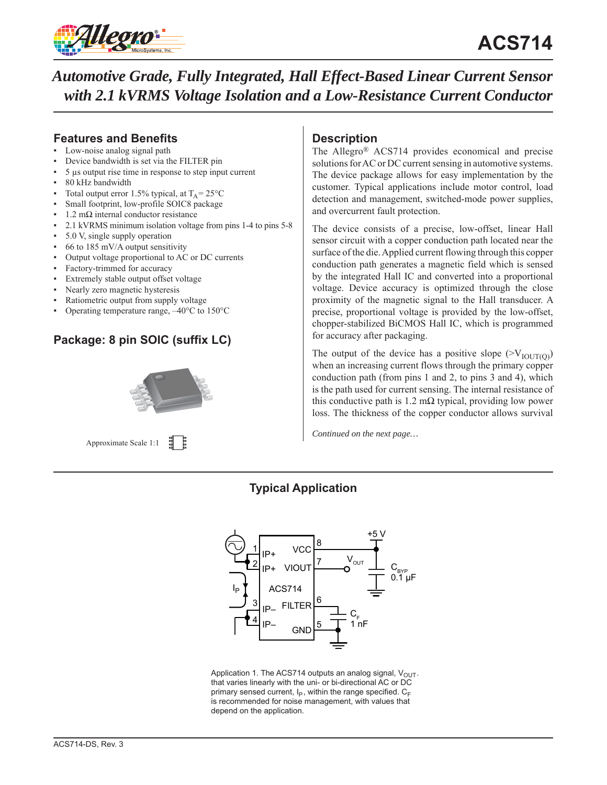

## **Features and Benefits**

- Low-noise analog signal path
- Device bandwidth is set via the FILTER pin
- 5 μs output rise time in response to step input current
- 80 kHz bandwidth
- Total output error 1.5% typical, at  $T_A = 25^{\circ}C$
- Small footprint, low-profile SOIC8 package
- $1.2$  mΩ internal conductor resistance
- 2.1 kVRMS minimum isolation voltage from pins 1-4 to pins 5-8
- 5.0 V, single supply operation
- $66$  to 185 mV/A output sensitivity
- Output voltage proportional to AC or DC currents
- Factory-trimmed for accuracy
- Extremely stable output offset voltage
- Nearly zero magnetic hysteresis
- Ratiometric output from supply voltage
- Operating temperature range,  $-40^{\circ}$ C to 150 $^{\circ}$ C

# **Package: 8 pin SOIC (suffix LC)**



Approximate Scale 1:1

## **Description**

The Allegro® ACS714 provides economical and precise solutions for AC or DC current sensing in automotive systems. The device package allows for easy implementation by the customer. Typical applications include motor control, load detection and management, switched-mode power supplies, and overcurrent fault protection.

The device consists of a precise, low-offset, linear Hall sensor circuit with a copper conduction path located near the surface of the die. Applied current flowing through this copper conduction path generates a magnetic field which is sensed by the integrated Hall IC and converted into a proportional voltage. Device accuracy is optimized through the close proximity of the magnetic signal to the Hall transducer. A precise, proportional voltage is provided by the low-offset, chopper-stabilized BiCMOS Hall IC, which is programmed for accuracy after packaging.

The output of the device has a positive slope  $(>V_{\text{IOUT(0)}})$ when an increasing current flows through the primary copper conduction path (from pins 1 and 2, to pins 3 and 4), which is the path used for current sensing. The internal resistance of this conductive path is  $1.2 \text{ m}\Omega$  typical, providing low power loss. The thickness of the copper conductor allows survival

*Continued on the next page…*

# **Typical Application**



Application 1. The ACS714 outputs an analog signal,  $V_{\text{OUT}}$ . that varies linearly with the uni- or bi-directional AC or DC primary sensed current,  $I_P$ , within the range specified.  $C_F$ is recommended for noise management, with values that depend on the application.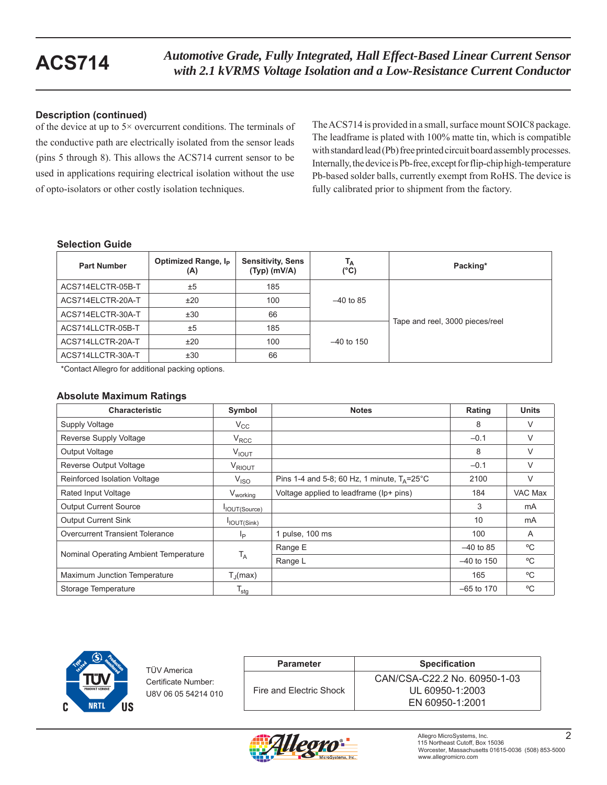### **Description (continued)**

of the device at up to 5× overcurrent conditions. The terminals of the conductive path are electrically isolated from the sensor leads (pins 5 through 8). This allows the ACS714 current sensor to be used in applications requiring electrical isolation without the use of opto-isolators or other costly isolation techniques.

The ACS714 is provided in a small, surface mount SOIC8 package. The leadframe is plated with 100% matte tin, which is compatible with standard lead (Pb) free printed circuit board assembly processes. Internally, the device is Pb-free, except for flip-chip high-temperature Pb-based solder balls, currently exempt from RoHS. The device is fully calibrated prior to shipment from the factory.

#### **Selection Guide**

| <b>Part Number</b> | Optimized Range, I <sub>P</sub><br>(A) | <b>Sensitivity, Sens</b><br>$(Typ)$ (mV/A) | T <sub>A</sub><br>(°C) | Packing*                        |
|--------------------|----------------------------------------|--------------------------------------------|------------------------|---------------------------------|
| ACS714ELCTR-05B-T  | ±5                                     | 185                                        |                        |                                 |
| ACS714ELCTR-20A-T  | ±20                                    | 100                                        | $-40$ to 85            |                                 |
| ACS714ELCTR-30A-T  | ±30                                    | 66                                         |                        |                                 |
| ACS714LLCTR-05B-T  | ±5                                     | 185                                        |                        | Tape and reel, 3000 pieces/reel |
| ACS714LLCTR-20A-T  | ±20                                    | 100                                        | $-40$ to 150           |                                 |
| ACS714LLCTR-30A-T  | ±30                                    | 66                                         |                        |                                 |

\*Contact Allegro for additional packing options.

### **Absolute Maximum Ratings**

| <b>Characteristic</b>                  | Symbol                | <b>Notes</b>                                            | Rating       | <b>Units</b> |
|----------------------------------------|-----------------------|---------------------------------------------------------|--------------|--------------|
| Supply Voltage                         | $V_{\rm CC}$          |                                                         | 8            | V            |
| Reverse Supply Voltage                 | $V_{RCC}$             |                                                         | $-0.1$       | V            |
| Output Voltage                         | $V_{IOUT}$            |                                                         | 8            | V            |
| <b>Reverse Output Voltage</b>          | V <sub>RIOUT</sub>    |                                                         | $-0.1$       | V            |
| Reinforced Isolation Voltage           | V <sub>ISO</sub>      | Pins 1-4 and 5-8; 60 Hz, 1 minute, $T_A = 25^{\circ}$ C | 2100         | V            |
| Rated Input Voltage                    | V <sub>working</sub>  | Voltage applied to leadframe (lp+ pins)                 | 184          | VAC Max      |
| <b>Output Current Source</b>           | IOUT(Source)          |                                                         | 3            | mA           |
| <b>Output Current Sink</b>             | IOUT(Sink)            |                                                         | 10           | mA           |
| <b>Overcurrent Transient Tolerance</b> | lp.                   | 1 pulse, 100 ms                                         | 100          | A            |
| Nominal Operating Ambient Temperature  |                       | Range E                                                 | $-40$ to 85  | °C           |
|                                        | $T_A$                 | Range L                                                 | $-40$ to 150 | °C           |
| Maximum Junction Temperature           | $T_{\parallel}$ (max) |                                                         | 165          | °C           |
| Storage Temperature                    | $T_{\text{stg}}$      |                                                         | $-65$ to 170 | °C           |



TÜV America Certificate Number: U8V 06 05 54214 010

| <b>Parameter</b>        | <b>Specification</b>         |
|-------------------------|------------------------------|
|                         | CAN/CSA-C22.2 No. 60950-1-03 |
| Fire and Electric Shock | UL 60950-1:2003              |
|                         | EN 60950-1:2001              |

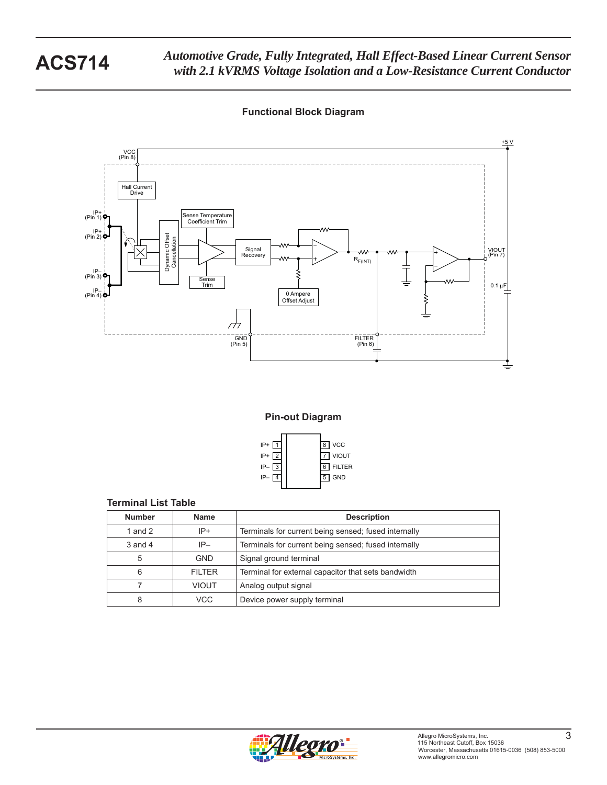



**Pin-out Diagram**



### **Terminal List Table**

| <b>Number</b> | <b>Name</b>   | <b>Description</b>                                   |
|---------------|---------------|------------------------------------------------------|
| 1 and $2$     | $IP+$         | Terminals for current being sensed; fused internally |
| $3$ and $4$   | $IP-$         | Terminals for current being sensed; fused internally |
| 5             | <b>GND</b>    | Signal ground terminal                               |
| 6             | <b>FILTER</b> | Terminal for external capacitor that sets bandwidth  |
|               | <b>VIOUT</b>  | Analog output signal                                 |
| 8             | VCC           | Device power supply terminal                         |

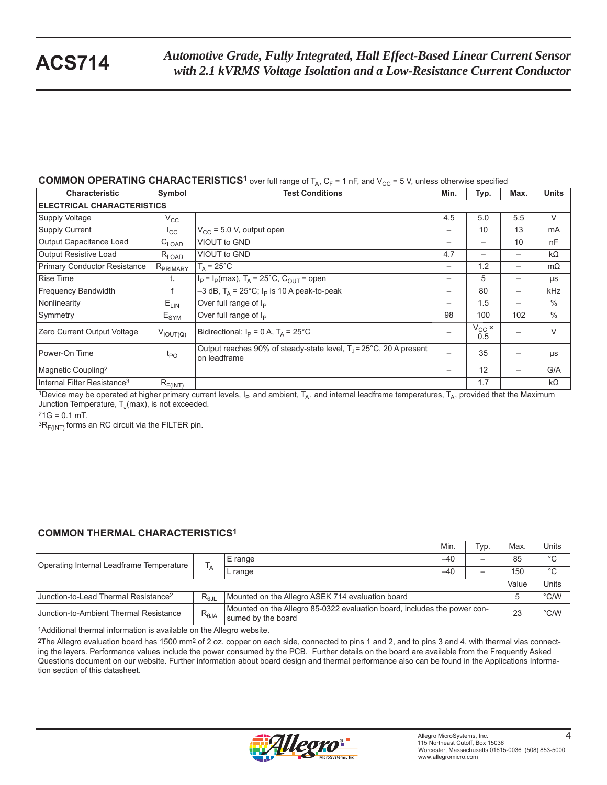#### **COMMON OPERATING CHARACTERISTICS<sup>1</sup>** over full range of  $T_A$ ,  $C_F = 1$  nF, and  $V_{CC} = 5$  V, unless otherwise specified

| <b>Characteristic</b>                   | Symbol               | <b>Test Conditions</b>                                                                       | Min.                     | Typ.                    | Max. | <b>Units</b>  |  |  |  |  |
|-----------------------------------------|----------------------|----------------------------------------------------------------------------------------------|--------------------------|-------------------------|------|---------------|--|--|--|--|
| <b>ELECTRICAL CHARACTERISTICS</b>       |                      |                                                                                              |                          |                         |      |               |  |  |  |  |
| Supply Voltage                          | $V_{\rm CC}$         |                                                                                              | 4.5                      | 5.0                     | 5.5  | V             |  |  |  |  |
| <b>Supply Current</b>                   | $I_{\rm CC}$         | $V_{CC}$ = 5.0 V, output open                                                                | $\overline{\phantom{m}}$ | 10                      | 13   | mA            |  |  |  |  |
| Output Capacitance Load                 | $C_{LOAD}$           | VIOUT to GND                                                                                 | $\overline{\phantom{m}}$ |                         | 10   | nF            |  |  |  |  |
| <b>Output Resistive Load</b>            | $R_{LOAD}$           | VIOUT to GND                                                                                 | 4.7                      |                         |      | $k\Omega$     |  |  |  |  |
| <b>Primary Conductor Resistance</b>     | R <sub>PRIMARY</sub> | $T_A = 25^{\circ}$ C                                                                         | $\overline{\phantom{0}}$ | 1.2                     |      | $m\Omega$     |  |  |  |  |
| <b>Rise Time</b>                        | t,                   | $I_P = I_P(max)$ , T <sub>A</sub> = 25°C, C <sub>OUT</sub> = open                            | —                        | 5                       |      | μs            |  |  |  |  |
| Frequency Bandwidth                     |                      | $-3$ dB, T <sub>A</sub> = 25°C; I <sub>P</sub> is 10 A peak-to-peak                          | —                        | 80                      | —    | kHz           |  |  |  |  |
| Nonlinearity                            | $E_{LIN}$            | Over full range of I <sub>P</sub>                                                            | $\overline{\phantom{m}}$ | 1.5                     |      | $\frac{0}{0}$ |  |  |  |  |
| Symmetry                                | $E_{\text{SYM}}$     | Over full range of I <sub>P</sub>                                                            | 98                       | 100                     | 102  | $\%$          |  |  |  |  |
| Zero Current Output Voltage             | $V_{IOUT(Q)}$        | Bidirectional; $I_P = 0 A$ , $T_A = 25^{\circ}C$                                             |                          | $V_{\rm CC} \times 0.5$ |      | $\vee$        |  |  |  |  |
| Power-On Time                           | $t_{\mathsf{PO}}$    | Output reaches 90% of steady-state level, $T_1 = 25^{\circ}$ C, 20 A present<br>on leadframe | —                        | 35                      |      | μs            |  |  |  |  |
| Magnetic Coupling <sup>2</sup>          |                      |                                                                                              | —                        | 12                      |      | G/A           |  |  |  |  |
| Internal Filter Resistance <sup>3</sup> | $R_{F(INT)}$         |                                                                                              |                          | 1.7                     |      | $k\Omega$     |  |  |  |  |

1Device may be operated at higher primary current levels,  $I_P$ , and ambient,  $T_A$ , and internal leadframe temperatures,  $T_A$ , provided that the Maximum Junction Temperature,  $T_J$ (max), is not exceeded.

 $21G = 0.1$  mT.

 ${}^{3}R_{F(INT)}$  forms an RC circuit via the FILTER pin.

### **COMMON THERMAL CHARACTERISTICS1**

|                                                  |                |                                                                                                | Min.  | Typ. | Max.  | Units         |
|--------------------------------------------------|----------------|------------------------------------------------------------------------------------------------|-------|------|-------|---------------|
| Operating Internal Leadframe Temperature         | ΙA.            | E range                                                                                        | $-40$ | —    | 85    | $^{\circ}C$   |
|                                                  |                | L range                                                                                        | $-40$ |      | 150   | $^{\circ}C$   |
|                                                  |                |                                                                                                |       |      | Value | Units         |
| Junction-to-Lead Thermal Resistance <sup>2</sup> | $R_{\theta$ JL | Mounted on the Allegro ASEK 714 evaluation board                                               |       |      |       | $\degree$ C/W |
| Junction-to-Ambient Thermal Resistance           | $R_{\theta$ JA | Mounted on the Allegro 85-0322 evaluation board, includes the power con-<br>sumed by the board |       |      |       | $\degree$ C/W |

1Additional thermal information is available on the Allegro website.

<sup>2</sup>The Allegro evaluation board has 1500 mm<sup>2</sup> of 2 oz. copper on each side, connected to pins 1 and 2, and to pins 3 and 4, with thermal vias connecting the layers. Performance values include the power consumed by the PCB. Further details on the board are available from the Frequently Asked Questions document on our website. Further information about board design and thermal performance also can be found in the Applications Information section of this datasheet.

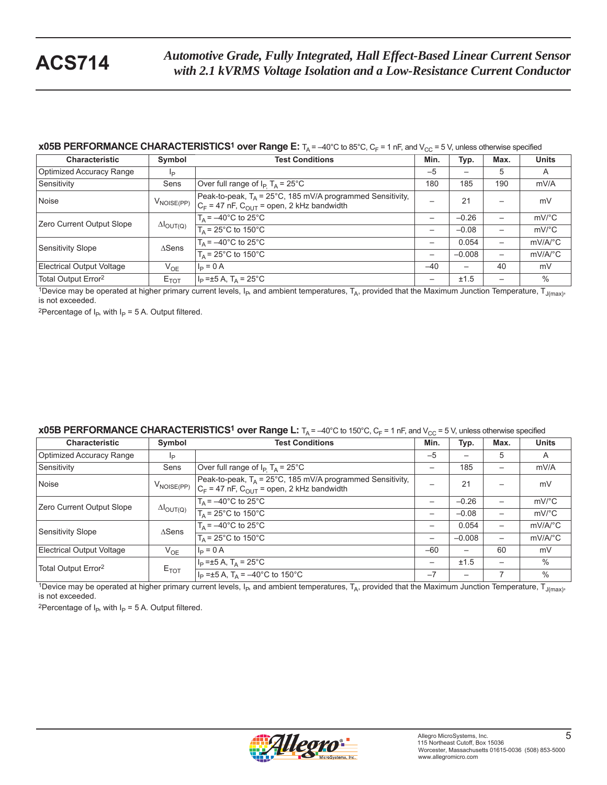#### **x05B PERFORMANCE CHARACTERISTICS<sup>1</sup> over Range E:**  $T_A = -40^\circ$ C to 85°C, C<sub>F</sub> = 1 nF, and V<sub>CC</sub> = 5 V, unless otherwise specified

| <b>Characteristic</b>           | Symbol                     | <b>Test Conditions</b>                                                                                                   | Min.  | Typ.     | Max. | <b>Units</b>          |
|---------------------------------|----------------------------|--------------------------------------------------------------------------------------------------------------------------|-------|----------|------|-----------------------|
| Optimized Accuracy Range        | Ιp                         |                                                                                                                          | $-5$  |          | 5    | A                     |
| Sensitivity                     | Sens                       | Over full range of $I_P$ T <sub>A</sub> = 25°C                                                                           | 180   | 185      | 190  | mV/A                  |
| Noise                           | $V_{\text{NOISE(PP)}}$     | Peak-to-peak, $T_A = 25^{\circ}$ C, 185 mV/A programmed Sensitivity,<br>$C_F$ = 47 nF, $C_{OUT}$ = open, 2 kHz bandwidth |       | 21       |      | mV                    |
| Zero Current Output Slope       | $\Delta I_{\text{OUT}(Q)}$ | $T_{\text{A}}$ = $-40^{\circ}$ C to 25 $^{\circ}$ C                                                                      |       | $-0.26$  |      | $mV$ <sup>o</sup> $C$ |
|                                 |                            | $T_A$ = 25°C to 150°C                                                                                                    | -     | $-0.08$  |      | $mV$ °C               |
| Sensitivity Slope               | $\triangle$ Sens           | $T_A = -40^{\circ}$ C to 25°C                                                                                            | -     | 0.054    |      | $mV/A$ <sup>o</sup> C |
|                                 |                            | $T_A$ = 25°C to 150°C                                                                                                    | —     | $-0.008$ |      | $mV/A$ <sup>o</sup> C |
| Electrical Output Voltage       | $V_{OE}$                   | $I_P = 0 A$                                                                                                              | $-40$ | —        | 40   | mV                    |
| Total Output Error <sup>2</sup> | $E_{TOT}$                  | $I_P = \pm 5 A$ , T <sub>A</sub> = 25°C                                                                                  |       | ±1.5     |      | $\%$                  |

1Device may be operated at higher primary current levels,  $I_P$ , and ambient temperatures,  $T_A$ , provided that the Maximum Junction Temperature,  $T_{J(max)}$ , is not exceeded.

<sup>2</sup>Percentage of  $I_P$ , with  $I_P = 5$  A. Output filtered.

#### **x05B PERFORMANCE CHARACTERISTICS<sup>1</sup> over Range L:**  $T_A = -40^{\circ}C$  to 150°C,  $C_F = 1$  nF, and V<sub>CC</sub> = 5 V, unless otherwise specified

| <b>Characteristic</b>            | Symbol                     | <b>Test Conditions</b>                                                                                                   | Min.                     | Typ.     | Max. | <b>Units</b>            |
|----------------------------------|----------------------------|--------------------------------------------------------------------------------------------------------------------------|--------------------------|----------|------|-------------------------|
| Optimized Accuracy Range         | Ιp                         |                                                                                                                          | $-5$                     |          | 5    | A                       |
| Sensitivity                      | Sens                       | Over full range of $I_P$ T <sub>A</sub> = 25°C                                                                           |                          | 185      |      | mV/A                    |
| Noise                            | $V_{\text{NOISE(PP)}}$     | Peak-to-peak, $T_A = 25^{\circ}$ C, 185 mV/A programmed Sensitivity,<br>$C_F$ = 47 nF, $C_{OUT}$ = open, 2 kHz bandwidth |                          | 21       |      | mV                      |
| Zero Current Output Slope        | $\Delta I_{\text{OUT(Q)}}$ | $T_A = -40^{\circ}$ C to 25°C                                                                                            | -                        | $-0.26$  |      | $mV$ <sup>o</sup> $C$   |
|                                  |                            | $T_A$ = 25°C to 150°C                                                                                                    | -                        | $-0.08$  |      | $mV$ <sup>o</sup> $C$   |
| Sensitivity Slope                | $\triangle$ Sens           | $T_A = -40^{\circ}$ C to 25°C                                                                                            | $\overline{\phantom{m}}$ | 0.054    |      | $mV/A$ <sup>o</sup> $C$ |
|                                  |                            | $T_A$ = 25°C to 150°C                                                                                                    | —                        | $-0.008$ | —    | $mV/A$ <sup>o</sup> $C$ |
| <b>Electrical Output Voltage</b> | $V_{OF}$                   | $I_{\rm p} = 0 A$                                                                                                        | $-60$                    | —        | 60   | mV                      |
|                                  |                            | $I_P = \pm 5 A$ , T <sub>A</sub> = 25°C                                                                                  | $\overline{\phantom{m}}$ | ±1.5     |      | $\%$                    |
| Total Output Error <sup>2</sup>  | $E_{TOT}$                  | $I_P = \pm 5$ A, T <sub>A</sub> = -40°C to 150°C                                                                         | $-7$                     |          |      | $\%$                    |

1Device may be operated at higher primary current levels,  $I_P$ , and ambient temperatures,  $T_A$ , provided that the Maximum Junction Temperature,  $T_{J(max)}$ , is not exceeded.

<sup>2</sup>Percentage of  $I_P$ , with  $I_P = 5$  A. Output filtered.

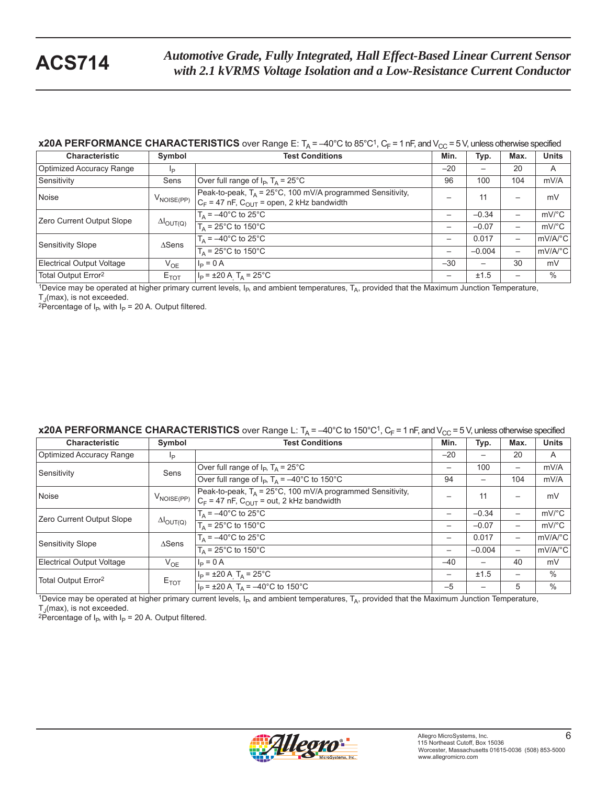### **x20A PERFORMANCE CHARACTERISTICS** over Range E:  $T_A = -40^\circ C$  to 85°C<sup>1</sup>,  $C_F = 1$  nF, and  $V_{CC} = 5$  V, unless otherwise specified

| <b>Characteristic</b>           | Symbol                     | <b>Test Conditions</b>                                                                                                   | Min.                     | Typ.                     | Max.                     | <b>Units</b>          |
|---------------------------------|----------------------------|--------------------------------------------------------------------------------------------------------------------------|--------------------------|--------------------------|--------------------------|-----------------------|
| Optimized Accuracy Range        | lp                         |                                                                                                                          | $-20$                    |                          | 20                       | A                     |
| Sensitivity                     | Sens                       | Over full range of $I_P$ , $T_A = 25^{\circ}C$                                                                           | 96                       | 100                      | 104                      | mV/A                  |
| Noise                           | $V_{\text{NOISE(PP)}}$     | Peak-to-peak, $T_A = 25^{\circ}$ C, 100 mV/A programmed Sensitivity,<br>$C_F$ = 47 nF, $C_{OUT}$ = open, 2 kHz bandwidth |                          | 11                       | -                        | mV                    |
| Zero Current Output Slope       | $\Delta I_{\text{OUT(Q)}}$ | $T_A = -40^{\circ}$ C to 25°C                                                                                            | $\overline{\phantom{0}}$ | $-0.34$                  | -                        | $mV$ <sup>o</sup> C   |
|                                 |                            | $T_{\text{A}}$ = 25°C to 150°C                                                                                           | —                        | $-0.07$                  | —                        | $mV$ <sup>o</sup> $C$ |
| Sensitivity Slope               | $\triangle$ Sens           | $T_A = -40^{\circ}$ C to $25^{\circ}$ C                                                                                  | $\overline{\phantom{m}}$ | 0.017                    | —                        | mV/A/°C               |
|                                 |                            | $T_A = 25^{\circ}$ C to 150°C                                                                                            |                          | $-0.004$                 | $\overline{\phantom{0}}$ | mV/A/°C               |
| Electrical Output Voltage       | $V_{OE}$                   | $I_P = 0 A$                                                                                                              | $-30$                    | $\overline{\phantom{0}}$ | 30                       | mV                    |
| Total Output Error <sup>2</sup> | $E_{TOT}$                  | $I_P = \pm 20$ A T <sub>A</sub> = 25°C                                                                                   | $\overline{\phantom{m}}$ | ±1.5                     | -                        | $\%$                  |

<sup>1</sup>Device may be operated at higher primary current levels,  $I_P$ , and ambient temperatures,  $T_A$ , provided that the Maximum Junction Temperature,  $T_A$ (max), is not exceeded.

<sup>2</sup>Percentage of I<sub>P</sub>, with I<sub>P</sub> = 20 A. Output filtered.

#### **x20A PERFORMANCE CHARACTERISTICS** over Range L:  $T_A = -40^{\circ}C$  to 150°C<sup>1</sup>,  $C_F = 1$  nF, and  $V_{CC} = 5$  V, unless otherwise specified

| <b>Characteristic</b>           | Symbol                     | <b>Test Conditions</b>                                                                                                  | Min.                     | Typ.                     | Max. | <b>Units</b>          |
|---------------------------------|----------------------------|-------------------------------------------------------------------------------------------------------------------------|--------------------------|--------------------------|------|-----------------------|
| Optimized Accuracy Range        | Ιp                         |                                                                                                                         | $-20$                    | $\overline{\phantom{0}}$ | 20   | A                     |
| Sensitivity                     | Sens                       | Over full range of $I_P$ , $T_A = 25^{\circ}C$                                                                          | $\overline{\phantom{m}}$ | 100                      | —    | mV/A                  |
|                                 |                            | Over full range of $I_P$ , $T_A = -40^{\circ}$ C to 150°C                                                               | 94                       |                          | 104  | mV/A                  |
| Noise                           | $V_{\mathsf{NOISE(PP)}}$   | Peak-to-peak, $T_A = 25^{\circ}$ C, 100 mV/A programmed Sensitivity,<br>$C_F$ = 47 nF, $C_{OUT}$ = out, 2 kHz bandwidth |                          | 11                       | —    | mV                    |
| Zero Current Output Slope       | $\Delta I_{\text{OUT(Q)}}$ | $T_{\Delta}$ = -40°C to 25°C                                                                                            | $\overline{\phantom{m}}$ | $-0.34$                  | —    | $mV$ <sup>o</sup> $C$ |
|                                 |                            | $T_A = 25^{\circ}$ C to 150 $^{\circ}$ C                                                                                | $\overline{\phantom{m}}$ | $-0.07$                  | —    | $mV$ °C               |
| Sensitivity Slope               | $\triangle$ Sens           | $T_A = -40^{\circ}$ C to 25 $\overline{C}$                                                                              | $\qquad \qquad$          | 0.017                    | —    | mV/A/°C               |
|                                 |                            | $T_A$ = 25°C to 150°C                                                                                                   | $\overline{\phantom{m}}$ | $-0.004$                 | -    | $mV/A$ °C             |
| Electrical Output Voltage       | $V_{OE}$                   | $I_{\rm p} = 0 A$                                                                                                       | $-40$                    |                          | 40   | mV                    |
| Total Output Error <sup>2</sup> |                            | $I_P = \pm 20 \text{ A}$ , $T_A = 25^{\circ} \text{C}$                                                                  | $\overline{\phantom{m}}$ | ±1.5                     | —    | $\%$                  |
|                                 | $E_{TOT}$                  | $I_P = \pm 20$ A T <sub>A</sub> = -40°C to 150°C                                                                        | $-5$                     |                          | 5    | $\%$                  |

1Device may be operated at higher primary current levels,  $I_{P}$ , and ambient temperatures,  $T_A$ , provided that the Maximum Junction Temperature,  $T_J$ (max), is not exceeded.

<sup>2</sup>Percentage of I<sub>P</sub>, with I<sub>P</sub> = 20 A. Output filtered.

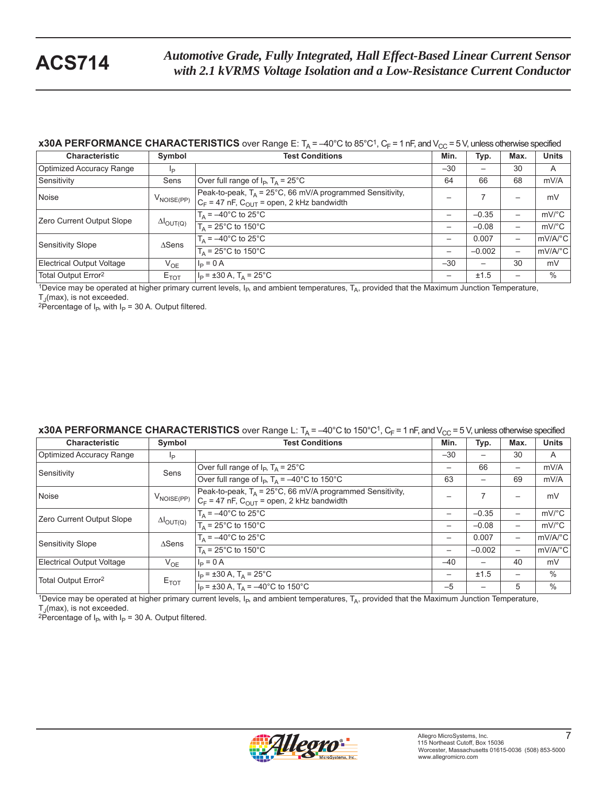### **x30A PERFORMANCE CHARACTERISTICS** over Range E:  $T_A = -40^\circ C$  to 85°C<sup>1</sup>,  $C_F = 1$  nF, and  $V_{CC} = 5$  V, unless otherwise specified

| <b>Characteristic</b>           | Symbol                     | <b>Test Conditions</b>                                                                                                  | Min.                     | Typ.                     | Max.                     | <b>Units</b>          |
|---------------------------------|----------------------------|-------------------------------------------------------------------------------------------------------------------------|--------------------------|--------------------------|--------------------------|-----------------------|
| Optimized Accuracy Range        | lp                         |                                                                                                                         | $-30$                    |                          | 30                       | A                     |
| Sensitivity                     | Sens                       | Over full range of $I_P$ , $T_A = 25^{\circ}C$                                                                          | 64                       | 66                       | 68                       | mV/A                  |
| Noise                           | $V_{\text{NOISE(PP)}}$     | Peak-to-peak, $T_A = 25^{\circ}$ C, 66 mV/A programmed Sensitivity,<br>$C_F$ = 47 nF, $C_{OUT}$ = open, 2 kHz bandwidth |                          |                          |                          | mV                    |
| Zero Current Output Slope       | $\Delta I_{\text{OUT(Q)}}$ | $T_A = -40^{\circ}$ C to 25°C                                                                                           | $\overline{\phantom{0}}$ | $-0.35$                  | —                        | $mV$ <sup>o</sup> $C$ |
|                                 |                            | $T_{\text{A}}$ = 25°C to 150°C                                                                                          | $\overline{\phantom{0}}$ | $-0.08$                  | —                        | $mV$ <sup>o</sup> C   |
| Sensitivity Slope               | $\triangle$ Sens           | $T_A = -40^{\circ}$ C to 25 $\overline{^{\circ}C}$                                                                      | $\overline{\phantom{m}}$ | 0.007                    | —                        | mV/A/°C               |
|                                 |                            | $T_A = 25^{\circ}$ C to 150 $^{\circ}$ C                                                                                | $\overline{\phantom{0}}$ | $-0.002$                 | $\overline{\phantom{0}}$ | mV/A/°C               |
| Electrical Output Voltage       | $V_{OE}$                   | $I_P = 0 A$                                                                                                             | $-30$                    | $\overline{\phantom{0}}$ | 30                       | mV                    |
| Total Output Error <sup>2</sup> | $E_{TOT}$                  | $I_P = \pm 30 A$ , T <sub>A</sub> = 25°C                                                                                | $\overline{\phantom{m}}$ | ±1.5                     | -                        | $\%$                  |

<sup>1</sup>Device may be operated at higher primary current levels,  $I_P$ , and ambient temperatures,  $T_A$ , provided that the Maximum Junction Temperature,  $T_A$ (max), is not exceeded.

<sup>2</sup>Percentage of I<sub>P</sub>, with I<sub>P</sub> = 30 A. Output filtered.

### **x30A PERFORMANCE CHARACTERISTICS** over Range L:  $T_A = -40^{\circ}C$  to 150°C<sup>1</sup>,  $C_F = 1$  nF, and  $V_{CC} = 5$  V, unless otherwise specified

| <b>Characteristic</b>            | Symbol                     | <b>Test Conditions</b>                                                                                                  | Min.                     | Typ.                     | Max.                     | <b>Units</b>          |
|----------------------------------|----------------------------|-------------------------------------------------------------------------------------------------------------------------|--------------------------|--------------------------|--------------------------|-----------------------|
| <b>Optimized Accuracy Range</b>  | Ip                         |                                                                                                                         | $-30$                    | $\overline{\phantom{0}}$ | 30                       | A                     |
| Sensitivity                      | Sens                       | Over full range of $I_P$ , $T_A = 25^{\circ}C$                                                                          | $\overline{\phantom{m}}$ | 66                       | —                        | mV/A                  |
|                                  |                            | Over full range of $I_P$ , $T_A = -40^{\circ}$ C to 150°C                                                               | 63                       |                          | 69                       | mV/A                  |
| Noise                            | $V_{\text{NOISE(PP)}}$     | Peak-to-peak, $T_A = 25^{\circ}$ C, 66 mV/A programmed Sensitivity,<br>$C_F$ = 47 nF, $C_{OUT}$ = open, 2 kHz bandwidth |                          |                          | —                        | mV                    |
| Zero Current Output Slope        | $\Delta I_{\text{OUT(Q)}}$ | $T_{\Delta}$ = -40°C to 25°C                                                                                            |                          | $-0.35$                  | $\overline{\phantom{0}}$ | $mV$ <sup>o</sup> $C$ |
|                                  |                            | $T_A$ = 25°C to 150°C                                                                                                   |                          | $-0.08$                  | —                        | $mV$ °C               |
| Sensitivity Slope                | $\triangle$ Sens           | $T_A = -40^{\circ}$ C to 25°C                                                                                           | $\overline{\phantom{m}}$ | 0.007                    | —                        | mV/A/°C               |
|                                  |                            | $T_A = 25^{\circ}$ C to 150 $^{\circ}$ C                                                                                | $\overline{\phantom{m}}$ | $-0.002$                 | -                        | mV/A/°C               |
| <b>Electrical Output Voltage</b> | $V_{OE}$                   | $I_P = 0 A$                                                                                                             | $-40$                    | $\overline{\phantom{0}}$ | 40                       | mV                    |
| Total Output Error <sup>2</sup>  | $E_{TOT}$                  | $I_P = \pm 30$ A, $T_A = 25^{\circ}$ C                                                                                  | $\overline{\phantom{m}}$ | ±1.5                     | —                        | $\%$                  |
|                                  |                            | $I_P = \pm 30$ A, $T_A = -40$ °C to 150°C                                                                               | $-5$                     |                          | 5                        | $\%$                  |

1Device may be operated at higher primary current levels,  $I_{P}$ , and ambient temperatures,  $T_A$ , provided that the Maximum Junction Temperature,  $T_J$ (max), is not exceeded.

<sup>2</sup>Percentage of I<sub>P</sub>, with I<sub>P</sub> = 30 A. Output filtered.

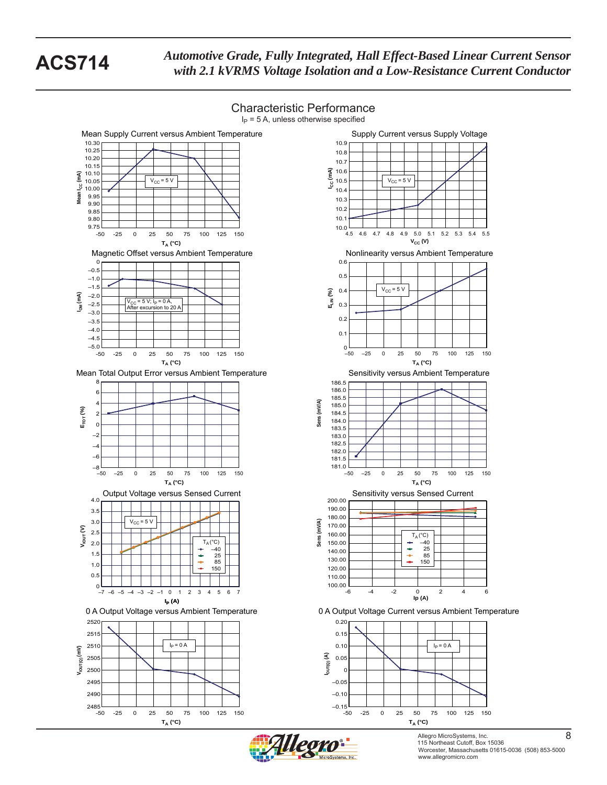

Characteristic Performance

Allegro MicroSystems, Inc. 8 115 Northeast Cutoff, Box 15036 Worcester, Massachusetts 01615-0036 (508) 853-5000 www.allegromicro.com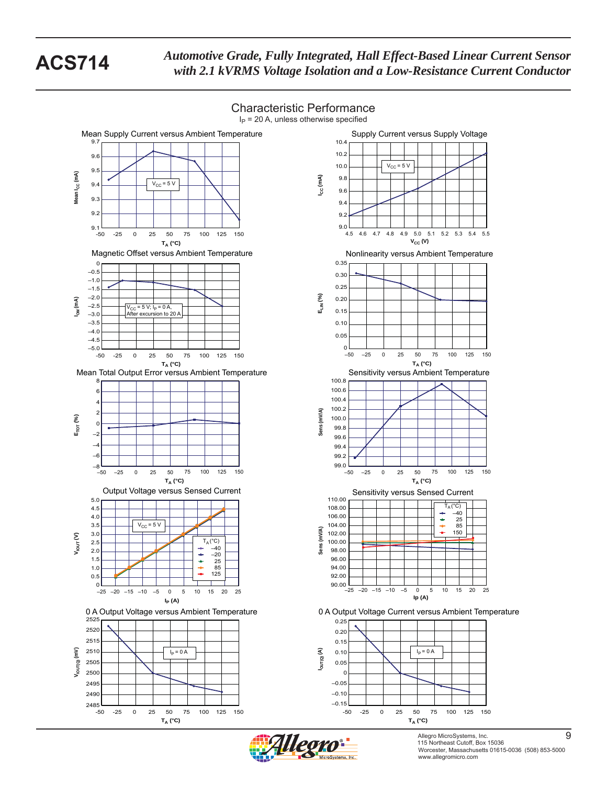

Characteristic Performance

Allegro MicroSystems, Inc. 9 115 Northeast Cutoff, Box 15036 Worcester, Massachusetts 01615-0036 (508) 853-5000 www.allegromicro.com

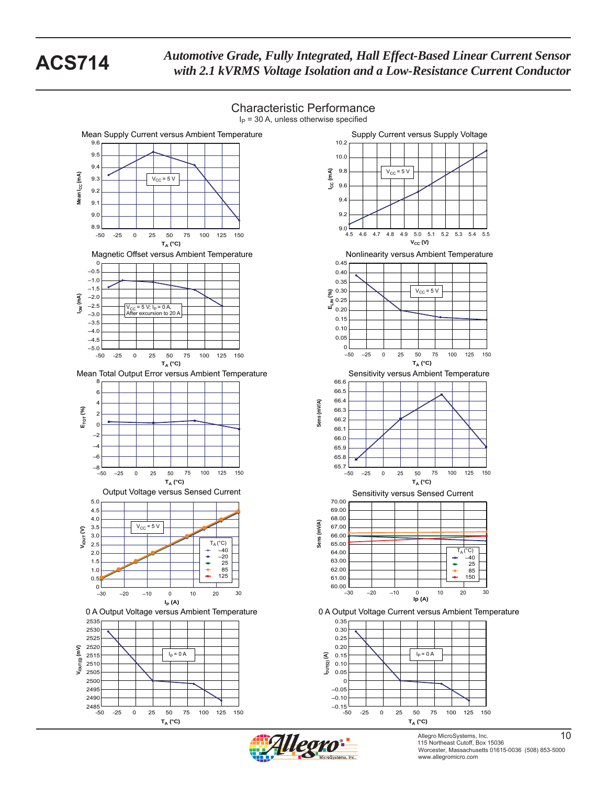

Allegro MicroSystems, Inc. 10 115 Northeast Cutoff, Box 15036 Worcester, Massachusetts 01615-0036 (508) 853-5000 www.allegromicro.com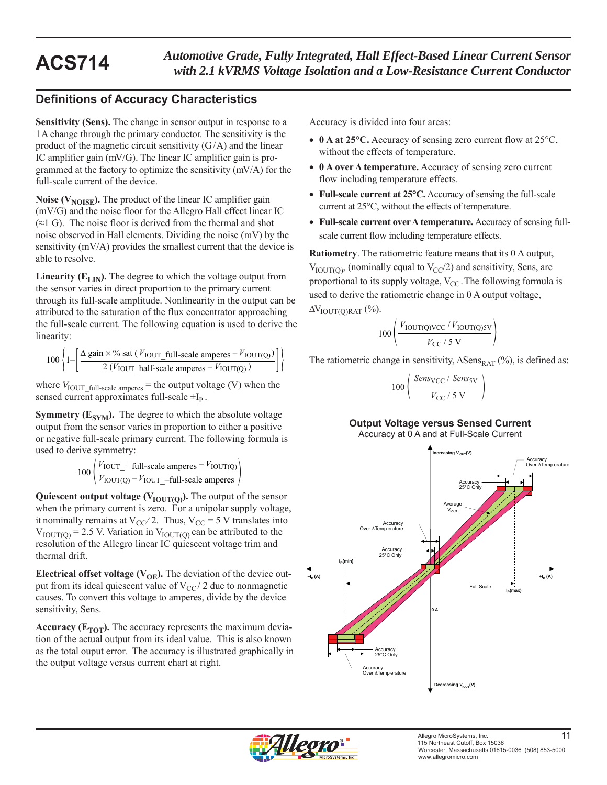# **Definitions of Accuracy Characteristics**

**Sensitivity (Sens).** The change in sensor output in response to a 1 A change through the primary conductor. The sensitivity is the product of the magnetic circuit sensitivity  $(G/A)$  and the linear IC amplifier gain (mV/G). The linear IC amplifier gain is programmed at the factory to optimize the sensitivity (mV/A) for the full-scale current of the device.

**Noise (** $V_{\text{NOISE}}$ **).** The product of the linear IC amplifier gain (mV/G) and the noise floor for the Allegro Hall effect linear IC  $(\approx 1 \text{ G})$ . The noise floor is derived from the thermal and shot noise observed in Hall elements. Dividing the noise (mV) by the sensitivity (mV/A) provides the smallest current that the device is able to resolve.

**Linearity (** $E_{LIN}$ **).** The degree to which the voltage output from the sensor varies in direct proportion to the primary current through its full-scale amplitude. Nonlinearity in the output can be attributed to the saturation of the flux concentrator approaching the full-scale current. The following equation is used to derive the linearity:

$$
100\left\{1-\left[\frac{\Delta \text{ gain} \times \% \text{ sat } (V_{\text{IOUT\_full-scale amperes}} - V_{\text{IOUT(Q)}})}{2 (V_{\text{IOUT\_half-scale amperes}} - V_{\text{IOUT(Q)}})}\right]\right\}
$$

where  $V_{\text{IOUT\_full-scale amperes}}$  = the output voltage (V) when the sensed current approximates full-scale  $\pm I_p$ .

**Symmetry (** $E_{SYM}$ **).** The degree to which the absolute voltage output from the sensor varies in proportion to either a positive or negative full-scale primary current. The following formula is used to derive symmetry:

$$
100 \left( \frac{V_{\text{IOUT}} + \text{full-scale amperes} - V_{\text{IOUT(Q)}}}{V_{\text{IOUT(Q)}} - V_{\text{IOUT}} - \text{full-scale amperes}} \right)
$$

**Quiescent output voltage (** $V_{\text{IOUT(O)}}$ **).** The output of the sensor when the primary current is zero. For a unipolar supply voltage, it nominally remains at  $V_{CC}/2$ . Thus,  $V_{CC} = 5$  V translates into  $V_{\text{IOUT(0)}} = 2.5$  V. Variation in  $V_{\text{IOUT(0)}}$  can be attributed to the resolution of the Allegro linear IC quiescent voltage trim and thermal drift.

**Electrical offset voltage (** $V_{OE}$ **).** The deviation of the device output from its ideal quiescent value of  $V_{CC}$  2 due to nonmagnetic causes. To convert this voltage to amperes, divide by the device sensitivity, Sens.

**Accuracy (** $E_{TOT}$ **).** The accuracy represents the maximum deviation of the actual output from its ideal value. This is also known as the total ouput error. The accuracy is illustrated graphically in the output voltage versus current chart at right.

Accuracy is divided into four areas:

- 0 A at 25°C. Accuracy of sensing zero current flow at 25°C, without the effects of temperature.
- **0 A over Δ temperature.** Accuracy of sensing zero current flow including temperature effects.
- **Full-scale current at 25°C.** Accuracy of sensing the full-scale current at 25°C, without the effects of temperature.
- **Full-scale current over Δ temperature.** Accuracy of sensing fullscale current flow including temperature effects.

**Ratiometry**. The ratiometric feature means that its 0 A output,  $V_{\text{IOUT(0)}}$ , (nominally equal to  $V_{\text{CC}}/2$ ) and sensitivity, Sens, are proportional to its supply voltage,  $V_{CC}$ . The following formula is used to derive the ratiometric change in 0 A output voltage,  $\Delta V_{\text{IOUT}(\text{O})\text{RAT}}$  (%).

$$
100\left(\frac{V_{\text{IOUT(Q)VCC}}/V_{\text{IOUT(Q)SV}}}{V_{\text{CC}}/5\text{ V}}\right)
$$

The ratiometric change in sensitivity,  $\Delta$ Sens<sub>RAT</sub> (%), is defined as:

$$
00\left(\frac{Sens_{\rm VCC} / Sens_{\rm SV}}{V_{\rm CC} / 5 \text{ V}}\right)
$$

 $\mathbf{1}$ 

### **Output Voltage versus Sensed Current**

Accuracy at 0 A and at Full-Scale Current



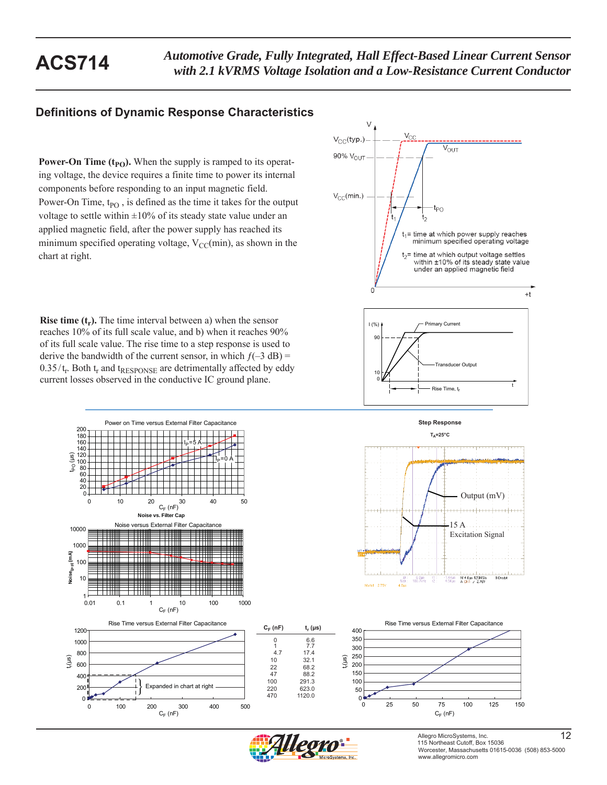## **Definitions of Dynamic Response Characteristics**

**Power-On Time**  $(t_{PO})$ **.** When the supply is ramped to its operating voltage, the device requires a finite time to power its internal components before responding to an input magnetic field. Power-On Time, t<sub>PO</sub>, is defined as the time it takes for the output voltage to settle within  $\pm 10\%$  of its steady state value under an applied magnetic field, after the power supply has reached its minimum specified operating voltage,  $V_{CC}(min)$ , as shown in the chart at right.

**Rise time**  $(t_r)$ **.** The time interval between a) when the sensor reaches 10% of its full scale value, and b) when it reaches 90% of its full scale value. The rise time to a step response is used to derive the bandwidth of the current sensor, in which  $f(-3 dB) =$  $0.35/t_r$ . Both  $t_r$  and  $t_{RESPONSE}$  are detrimentally affected by eddy current losses observed in the conductive IC ground plane.











**Step Response**





88.2

470 1120.0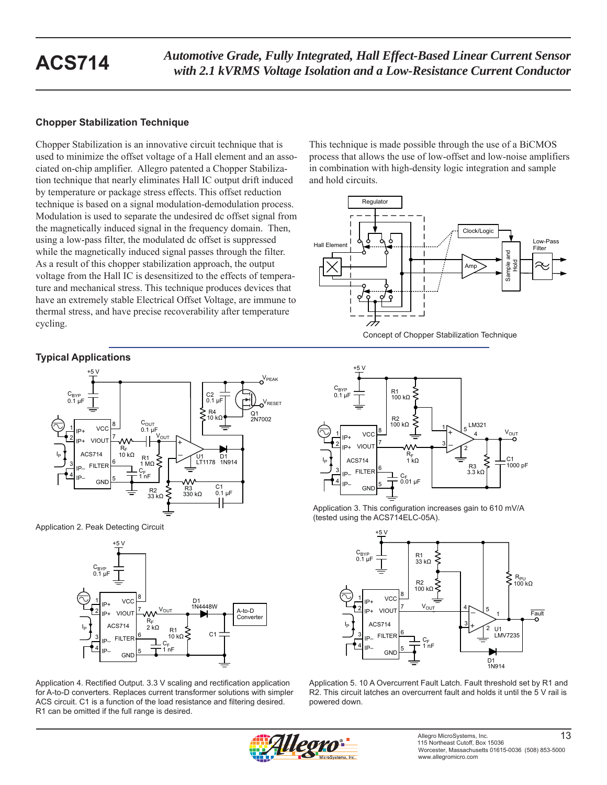### **Chopper Stabilization Technique**

Chopper Stabilization is an innovative circuit technique that is used to minimize the offset voltage of a Hall element and an associated on-chip amplifier. Allegro patented a Chopper Stabilization technique that nearly eliminates Hall IC output drift induced by temperature or package stress effects. This offset reduction technique is based on a signal modulation-demodulation process. Modulation is used to separate the undesired dc offset signal from the magnetically induced signal in the frequency domain. Then, using a low-pass filter, the modulated dc offset is suppressed while the magnetically induced signal passes through the filter. As a result of this chopper stabilization approach, the output voltage from the Hall IC is desensitized to the effects of temperature and mechanical stress. This technique produces devices that have an extremely stable Electrical Offset Voltage, are immune to thermal stress, and have precise recoverability after temperature cycling.

### **Typical Applications**



Application 2. Peak Detecting Circuit



Application 4. Rectified Output. 3.3 V scaling and rectification application for A-to-D converters. Replaces current transformer solutions with simpler ACS circuit. C1 is a function of the load resistance and filtering desired. R1 can be omitted if the full range is desired.

This technique is made possible through the use of a BiCMOS process that allows the use of low-offset and low-noise amplifiers in combination with high-density logic integration and sample and hold circuits.









Application 5. 10 A Overcurrent Fault Latch. Fault threshold set by R1 and R2. This circuit latches an overcurrent fault and holds it until the 5 V rail is powered down.

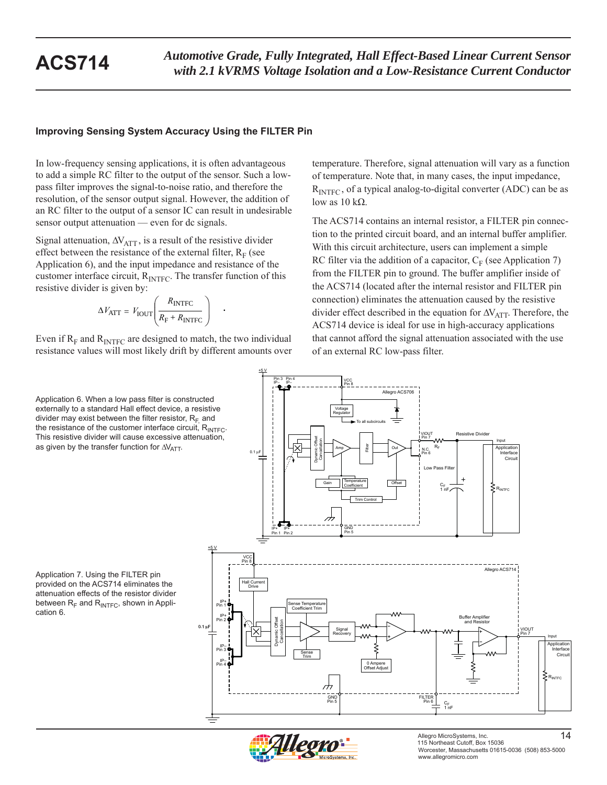### **Improving Sensing System Accuracy Using the FILTER Pin**

In low-frequency sensing applications, it is often advantageous to add a simple RC filter to the output of the sensor. Such a lowpass filter improves the signal-to-noise ratio, and therefore the resolution, of the sensor output signal. However, the addition of an RC filter to the output of a sensor IC can result in undesirable sensor output attenuation — even for dc signals.

Signal attenuation,  $\Delta V_{\text{ATT}}$ , is a result of the resistive divider effect between the resistance of the external filter,  $R_F$  (see Application 6), and the input impedance and resistance of the customer interface circuit,  $R_{\text{INTER}}$ . The transfer function of this resistive divider is given by:

$$
\Delta V_{\text{ATT}} = V_{\text{IOUT}} \left( \frac{R_{\text{INTER}}}{R_{\text{F}} + R_{\text{INTER}}} \right) .
$$

Even if  $R_F$  and  $R_{\text{INTER}}$  are designed to match, the two individual resistance values will most likely drift by different amounts over

Application 6. When a low pass filter is constructed externally to a standard Hall effect device, a resistive divider may exist between the filter resistor,  $R_F$  and the resistance of the customer interface circuit,  $R_{\text{INTE}}$ . This resistive divider will cause excessive attenuation, as given by the transfer function for  $\Delta V_{\text{ATT}}$ .

Application 7. Using the FILTER pin provided on the ACS714 eliminates the attenuation effects of the resistor divider between  $R_F$  and  $R_{\text{INTER}}$ , shown in Application 6.

temperature. Therefore, signal attenuation will vary as a function of temperature. Note that, in many cases, the input impedance,  $R<sub>INTEC</sub>$ , of a typical analog-to-digital converter (ADC) can be as low as  $10$  kΩ.

The ACS714 contains an internal resistor, a FILTER pin connection to the printed circuit board, and an internal buffer amplifier. With this circuit architecture, users can implement a simple RC filter via the addition of a capacitor,  $C_F$  (see Application 7) from the FILTER pin to ground. The buffer amplifier inside of the ACS714 (located after the internal resistor and FILTER pin connection) eliminates the attenuation caused by the resistive divider effect described in the equation for  $\Delta V_{\text{ATT}}$ . Therefore, the ACS714 device is ideal for use in high-accuracy applications that cannot afford the signal attenuation associated with the use of an external RC low-pass filter.





Allegro MicroSystems, Inc. 44 115 Northeast Cutoff, Box 15036 Worcester, Massachusetts 01615-0036 (508) 853-5000 www.allegromicro.com